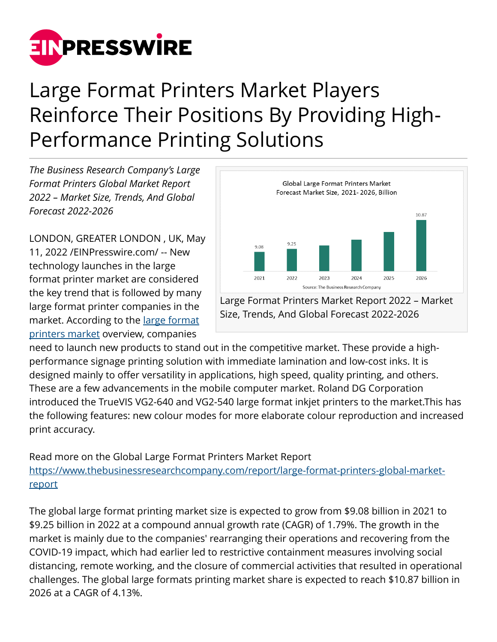

## Large Format Printers Market Players Reinforce Their Positions By Providing High-Performance Printing Solutions

*The Business Research Company's Large Format Printers Global Market Report 2022 – Market Size, Trends, And Global Forecast 2022-2026*

LONDON, GREATER LONDON , UK, May 11, 2022 /[EINPresswire.com/](http://www.einpresswire.com) -- New technology launches in the large format printer market are considered the key trend that is followed by many large format printer companies in the market. According to the [large format](https://www.thebusinessresearchcompany.com/report/large-format-printers-global-market-report) [printers market](https://www.thebusinessresearchcompany.com/report/large-format-printers-global-market-report) overview, companies



Large Format Printers Market Report 2022 – Market Size, Trends, And Global Forecast 2022-2026

need to launch new products to stand out in the competitive market. These provide a highperformance signage printing solution with immediate lamination and low-cost inks. It is designed mainly to offer versatility in applications, high speed, quality printing, and others. These are a few advancements in the mobile computer market. Roland DG Corporation introduced the TrueVIS VG2-640 and VG2-540 large format inkjet printers to the market.This has the following features: new colour modes for more elaborate colour reproduction and increased print accuracy.

Read more on the Global Large Format Printers Market Report [https://www.thebusinessresearchcompany.com/report/large-format-printers-global-market](https://www.thebusinessresearchcompany.com/report/large-format-printers-global-market-report)[report](https://www.thebusinessresearchcompany.com/report/large-format-printers-global-market-report)

The global large format printing market size is expected to grow from \$9.08 billion in 2021 to \$9.25 billion in 2022 at a compound annual growth rate (CAGR) of 1.79%. The growth in the market is mainly due to the companies' rearranging their operations and recovering from the COVID-19 impact, which had earlier led to restrictive containment measures involving social distancing, remote working, and the closure of commercial activities that resulted in operational challenges. The global large formats printing market share is expected to reach \$10.87 billion in 2026 at a CAGR of 4.13%.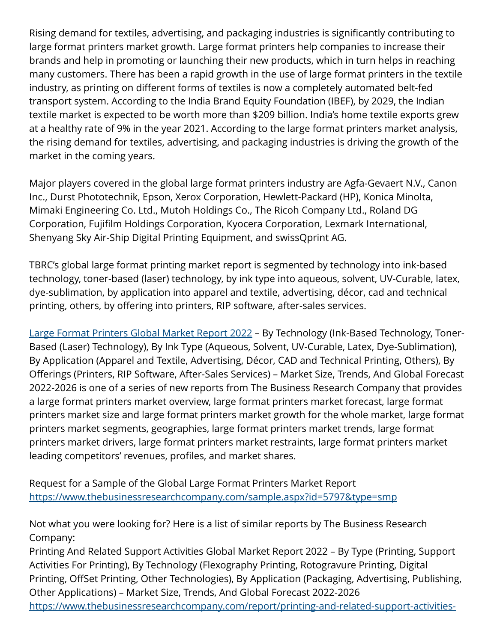Rising demand for textiles, advertising, and packaging industries is significantly contributing to large format printers market growth. Large format printers help companies to increase their brands and help in promoting or launching their new products, which in turn helps in reaching many customers. There has been a rapid growth in the use of large format printers in the textile industry, as printing on different forms of textiles is now a completely automated belt-fed transport system. According to the India Brand Equity Foundation (IBEF), by 2029, the Indian textile market is expected to be worth more than \$209 billion. India's home textile exports grew at a healthy rate of 9% in the year 2021. According to the large format printers market analysis, the rising demand for textiles, advertising, and packaging industries is driving the growth of the market in the coming years.

Major players covered in the global large format printers industry are Agfa-Gevaert N.V., Canon Inc., Durst Phototechnik, Epson, Xerox Corporation, Hewlett-Packard (HP), Konica Minolta, Mimaki Engineering Co. Ltd., Mutoh Holdings Co., The Ricoh Company Ltd., Roland DG Corporation, Fujifilm Holdings Corporation, Kyocera Corporation, Lexmark International, Shenyang Sky Air-Ship Digital Printing Equipment, and swissQprint AG.

TBRC's global large format printing market report is segmented by technology into ink-based technology, toner-based (laser) technology, by ink type into aqueous, solvent, UV-Curable, latex, dye-sublimation, by application into apparel and textile, advertising, décor, cad and technical printing, others, by offering into printers, RIP software, after-sales services.

[Large Format Printers Global Market Report 2022](https://www.thebusinessresearchcompany.com/report/large-format-printers-global-market-report) – By Technology (Ink-Based Technology, Toner-Based (Laser) Technology), By Ink Type (Aqueous, Solvent, UV-Curable, Latex, Dye-Sublimation), By Application (Apparel and Textile, Advertising, Décor, CAD and Technical Printing, Others), By Offerings (Printers, RIP Software, After-Sales Services) – Market Size, Trends, And Global Forecast 2022-2026 is one of a series of new reports from The Business Research Company that provides a large format printers market overview, large format printers market forecast, large format printers market size and large format printers market growth for the whole market, large format printers market segments, geographies, large format printers market trends, large format printers market drivers, large format printers market restraints, large format printers market leading competitors' revenues, profiles, and market shares.

Request for a Sample of the Global Large Format Printers Market Report <https://www.thebusinessresearchcompany.com/sample.aspx?id=5797&type=smp>

Not what you were looking for? Here is a list of similar reports by The Business Research Company:

Printing And Related Support Activities Global Market Report 2022 – By Type (Printing, Support Activities For Printing), By Technology (Flexography Printing, Rotogravure Printing, Digital Printing, OffSet Printing, Other Technologies), By Application (Packaging, Advertising, Publishing, Other Applications) – Market Size, Trends, And Global Forecast 2022-2026 [https://www.thebusinessresearchcompany.com/report/printing-and-related-support-activities-](https://www.thebusinessresearchcompany.com/report/printing-and-related-support-activities-global-market-report)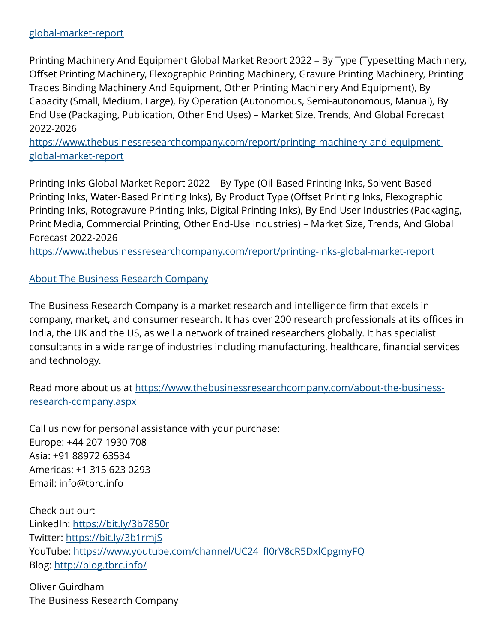## [global-market-report](https://www.thebusinessresearchcompany.com/report/printing-and-related-support-activities-global-market-report)

Printing Machinery And Equipment Global Market Report 2022 – By Type (Typesetting Machinery, Offset Printing Machinery, Flexographic Printing Machinery, Gravure Printing Machinery, Printing Trades Binding Machinery And Equipment, Other Printing Machinery And Equipment), By Capacity (Small, Medium, Large), By Operation (Autonomous, Semi-autonomous, Manual), By End Use (Packaging, Publication, Other End Uses) – Market Size, Trends, And Global Forecast 2022-2026

[https://www.thebusinessresearchcompany.com/report/printing-machinery-and-equipment](https://www.thebusinessresearchcompany.com/report/printing-machinery-and-equipment-global-market-report)[global-market-report](https://www.thebusinessresearchcompany.com/report/printing-machinery-and-equipment-global-market-report)

Printing Inks Global Market Report 2022 – By Type (Oil-Based Printing Inks, Solvent-Based Printing Inks, Water-Based Printing Inks), By Product Type (Offset Printing Inks, Flexographic Printing Inks, Rotogravure Printing Inks, Digital Printing Inks), By End-User Industries (Packaging, Print Media, Commercial Printing, Other End-Use Industries) – Market Size, Trends, And Global Forecast 2022-2026

<https://www.thebusinessresearchcompany.com/report/printing-inks-global-market-report>

[About The Business Research Company](https://www.thebusinessresearchcompany.com/)

The Business Research Company is a market research and intelligence firm that excels in company, market, and consumer research. It has over 200 research professionals at its offices in India, the UK and the US, as well a network of trained researchers globally. It has specialist consultants in a wide range of industries including manufacturing, healthcare, financial services and technology.

Read more about us at [https://www.thebusinessresearchcompany.com/about-the-business](https://www.thebusinessresearchcompany.com/about-the-business-research-company.aspx)[research-company.aspx](https://www.thebusinessresearchcompany.com/about-the-business-research-company.aspx)

Call us now for personal assistance with your purchase: Europe: +44 207 1930 708 Asia: +91 88972 63534 Americas: +1 315 623 0293 Email: info@tbrc.info

Check out our: LinkedIn: <https://bit.ly/3b7850r> Twitter:<https://bit.ly/3b1rmjS> YouTube: https://www.youtube.com/channel/UC24\_fl0rV8cR5DxlCpgmyFQ Blog: <http://blog.tbrc.info/>

Oliver Guirdham The Business Research Company